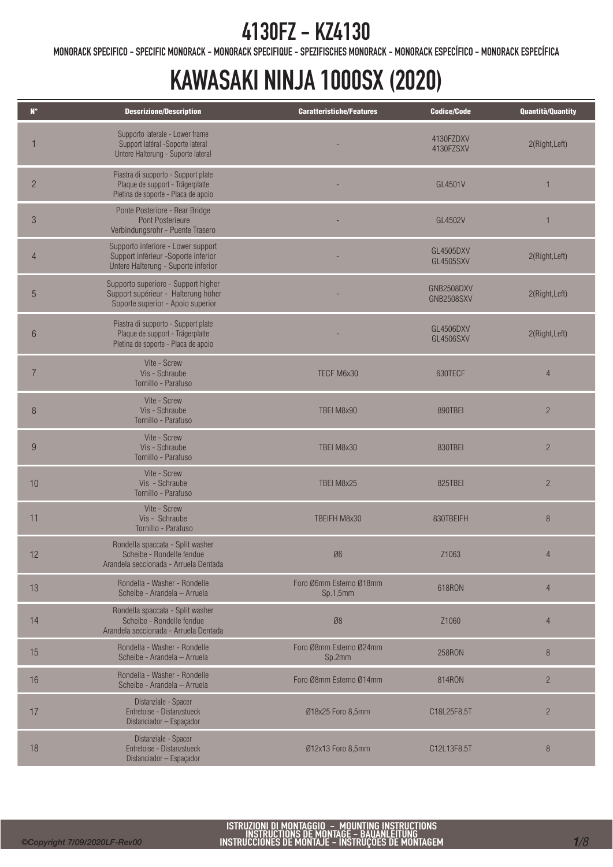MONORACK SPECIFICO - SPECIFIC MONORACK - MONORACK SPECIFIQUE - SPEZIFISCHES MONORACK - MONORACK ESPECÍFICO - MONORACK ESPECÍFICA

| $N^{\circ}$     | <b>Descrizione/Description</b>                                                                                   | <b>Caratteristiche/Features</b>     | <b>Codice/Code</b>                   | Quantità/Quantity |
|-----------------|------------------------------------------------------------------------------------------------------------------|-------------------------------------|--------------------------------------|-------------------|
|                 | Supporto laterale - Lower frame<br>Support latéral -Soporte lateral<br>Untere Halterung - Suporte lateral        |                                     | 4130FZDXV<br>4130FZSXV               | 2(Right, Left)    |
| $\overline{c}$  | Piastra di supporto - Support plate<br>Plaque de support - Trägerplatte<br>Pletina de soporte - Placa de apoio   |                                     | GL4501V                              |                   |
| 3               | Ponte Posteriore - Rear Bridge<br>Pont Posterieure<br>Verbindungsrohr - Puente Trasero                           |                                     | GL4502V                              |                   |
| $\overline{4}$  | Supporto inferiore - Lower support<br>Support inférieur -Soporte inferior<br>Untere Halterung - Suporte inferior |                                     | <b>GL4505DXV</b><br><b>GL4505SXV</b> | 2(Right, Left)    |
| 5               | Supporto superiore - Support higher<br>Support supérieur - Halterung höher<br>Soporte superior - Apoio superior  |                                     | GNB2508DXV<br><b>GNB2508SXV</b>      | 2(Right, Left)    |
| $6\phantom{.}6$ | Piastra di supporto - Support plate<br>Plaque de support - Trägerplatte<br>Pletina de soporte - Placa de apoio   |                                     | GL4506DXV<br><b>GL4506SXV</b>        | 2(Right, Left)    |
| $\overline{7}$  | Vite - Screw<br>Vis - Schraube<br>Tornillo - Parafuso                                                            | TECF M6x30                          | 630TECF                              | $\overline{4}$    |
| 8               | Vite - Screw<br>Vis - Schraube<br>Tornillo - Parafuso                                                            | TBEI M8x90                          | 890TBEI                              | $\overline{2}$    |
| 9               | Vite - Screw<br>Vis - Schraube<br>Tornillo - Parafuso                                                            | TBEI M8x30                          | 830TBEI                              | $\overline{2}$    |
| 10              | Vite - Screw<br>Vis - Schraube<br>Tornillo - Parafuso                                                            | TBEI M8x25                          | 825TBEI                              | $\overline{c}$    |
| 11              | Vite - Screw<br>Vis - Schraube<br>Tornillo - Parafuso                                                            | TBEIFH M8x30                        | 830TBEIFH                            | $\,8\,$           |
| 12              | Rondella spaccata - Split washer<br>Scheibe - Rondelle fendue<br>Arandela seccionada - Arruela Dentada           | Ø6                                  | Z1063                                | $\overline{4}$    |
| 13              | Rondella - Washer - Rondelle<br>Scheibe - Arandela - Arruela                                                     | Foro Ø6mm Esterno Ø18mm<br>Sp.1,5mm | 618RON                               | $\overline{4}$    |
| 14              | Rondella spaccata - Split washer<br>Scheibe - Rondelle fendue<br>Arandela seccionada - Arruela Dentada           | Ø8                                  | Z1060                                | $\overline{4}$    |
| 15              | Rondella - Washer - Rondelle<br>Scheibe - Arandela - Arruela                                                     | Foro Ø8mm Esterno Ø24mm<br>Sp.2mm   | 258RON                               | 8                 |
| 16              | Rondella - Washer - Rondelle<br>Scheibe - Arandela - Arruela                                                     | Foro Ø8mm Esterno Ø14mm             | 814RON                               | $\overline{c}$    |
| 17              | Distanziale - Spacer<br>Entretoise - Distanzstueck<br>Distanciador - Espaçador                                   | Ø18x25 Foro 8,5mm                   | C18L25F8,5T                          | $\overline{2}$    |
| 18              | Distanziale - Spacer<br>Entretoise - Distanzstueck<br>Distanciador - Espaçador                                   | Ø12x13 Foro 8,5mm                   | C12L13F8,5T                          | $\,8\,$           |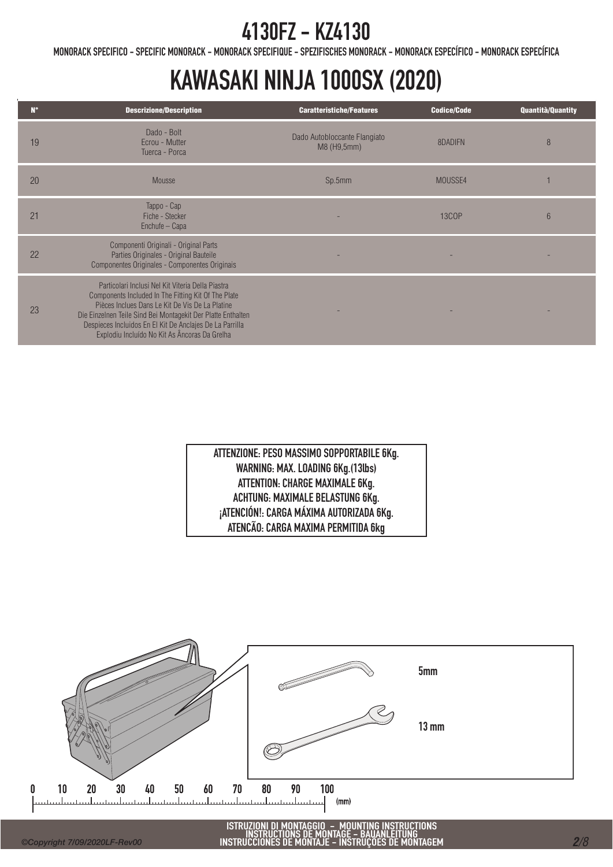MONORACK SPECIFICO - SPECIFIC MONORACK - MONORACK SPECIFIQUE - SPEZIFISCHES MONORACK - MONORACK ESPECÍFICO - MONORACK ESPECÍFICA

# KAWASAKI NINJA 1000SX (2020)

| $N^{\circ}$ | <b>Descrizione/Description</b>                                                                                                                                                                                                                                                                                                           | <b>Caratteristiche/Features</b>             | <b>Codice/Code</b> | <b>Quantità/Quantity</b> |
|-------------|------------------------------------------------------------------------------------------------------------------------------------------------------------------------------------------------------------------------------------------------------------------------------------------------------------------------------------------|---------------------------------------------|--------------------|--------------------------|
| 19          | Dado - Bolt<br>Ecrou - Mutter<br>Tuerca - Porca                                                                                                                                                                                                                                                                                          | Dado Autobloccante Flangiato<br>M8 (H9,5mm) | 8DADIFN            | 8                        |
| 20          | Mousse                                                                                                                                                                                                                                                                                                                                   | Sp.5mm                                      | MOUSSE4            |                          |
| 21          | Tappo - Cap<br>Fiche - Stecker<br>Enchufe - Capa                                                                                                                                                                                                                                                                                         |                                             | <b>13COP</b>       | 6                        |
| 22          | Componenti Originali - Original Parts<br>Parties Originales - Original Bauteile<br>Componentes Originales - Componentes Originais                                                                                                                                                                                                        |                                             |                    |                          |
| 23          | Particolari Inclusi Nel Kit Viteria Della Piastra<br>Components Included In The Fitting Kit Of The Plate<br>Pièces Inclues Dans Le Kit De Vis De La Platine<br>Die Einzelnen Teile Sind Bei Montagekit Der Platte Enthalten<br>Despieces Incluidos En El Kit De Anclajes De La Parrilla<br>Explodiu Incluído No Kit As Âncoras Da Grelha |                                             |                    |                          |

ATTENZIONE: PESO MASSIMO SOPPORTABILE 6Kg. WARNING: MAX. LOADING 6Kg.(13lbs) ATTENTION: CHARGE MAXIMALE 6Kg. ACHTUNG: MAXIMALE BELASTUNG 6Kg. ¡ATENCIÓN!: CARGA MÁXIMA AUTORIZADA 6Kg. ATENCÃO: CARGA MAXIMA PERMITIDA 6kg

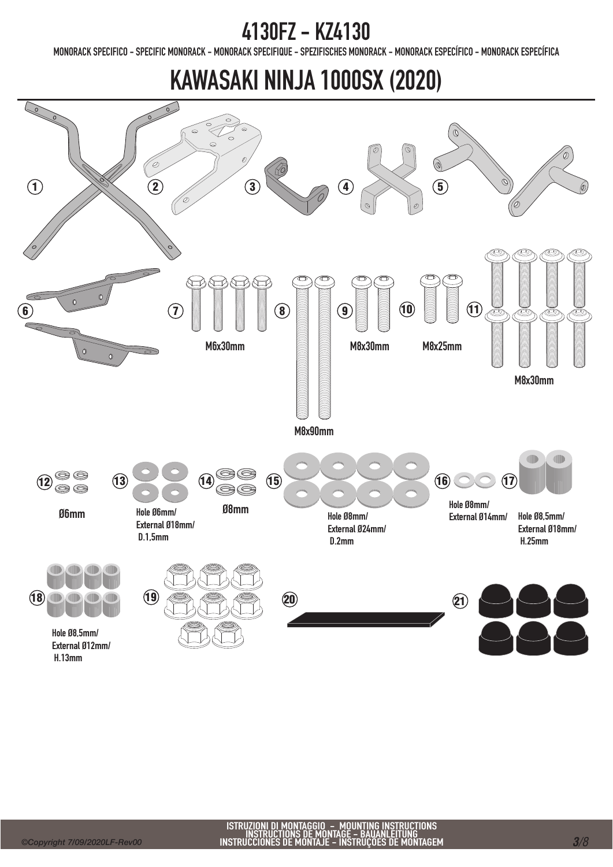MONORACK SPECIFICO - SPECIFIC MONORACK - MONORACK SPECIFIQUE - SPEZIFISCHES MONORACK - MONORACK ESPECÍFICO - MONORACK ESPECÍFICA

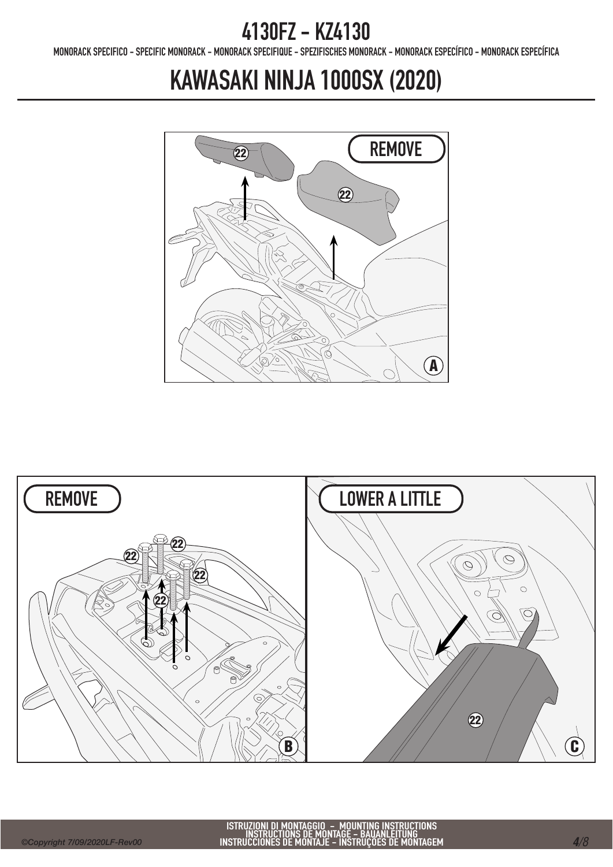MONORACK SPECIFICO - SPECIFIC MONORACK - MONORACK SPECIFIQUE - SPEZIFISCHES MONORACK - MONORACK ESPECÍFICO - MONORACK ESPECÍFICA



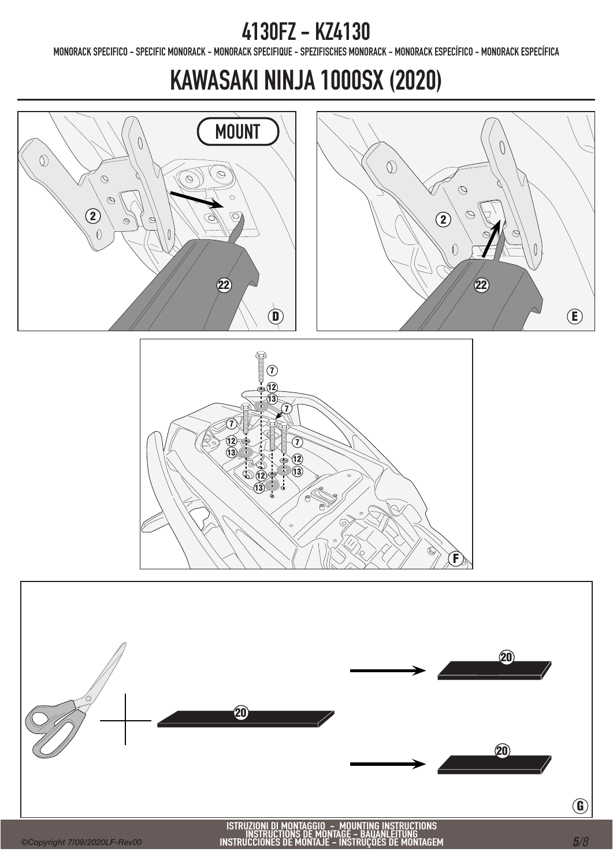MONORACK SPECIFICO - SPECIFIC MONORACK - MONORACK SPECIFIQUE - SPEZIFISCHES MONORACK - MONORACK ESPECÍFICO - MONORACK ESPECÍFICA





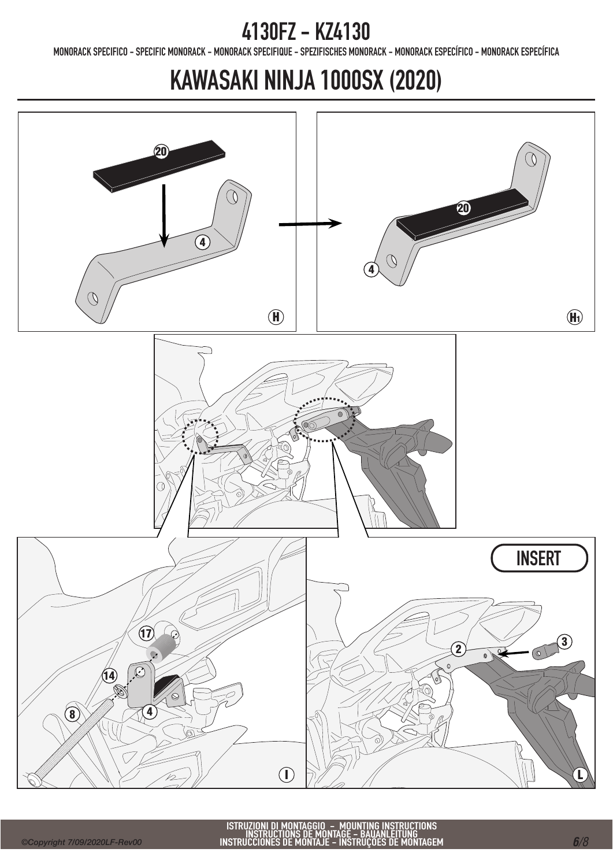MONORACK SPECIFICO - SPECIFIC MONORACK - MONORACK SPECIFIQUE - SPEZIFISCHES MONORACK - MONORACK ESPECÍFICO - MONORACK ESPECÍFICA

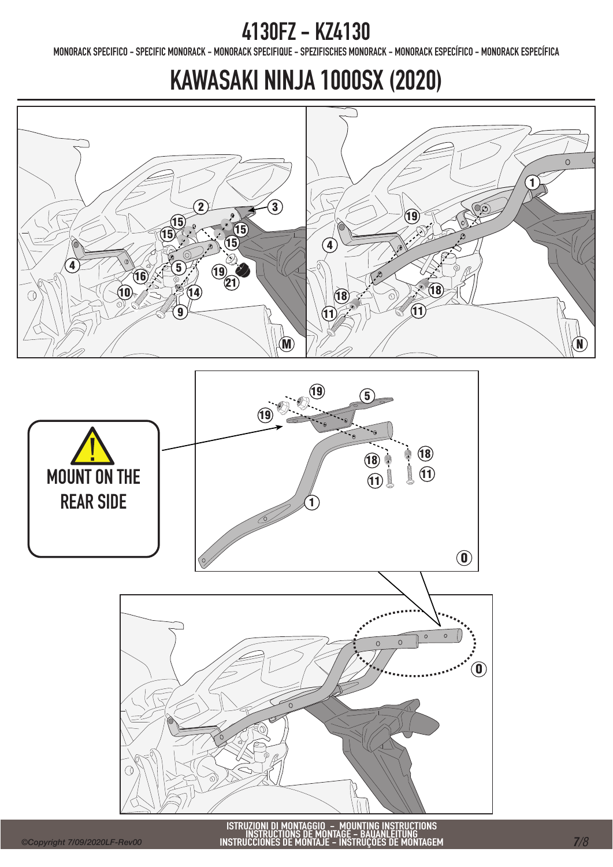MONORACK SPECIFICO - SPECIFIC MONORACK - MONORACK SPECIFIQUE - SPEZIFISCHES MONORACK - MONORACK ESPECÍFICO - MONORACK ESPECÍFICA